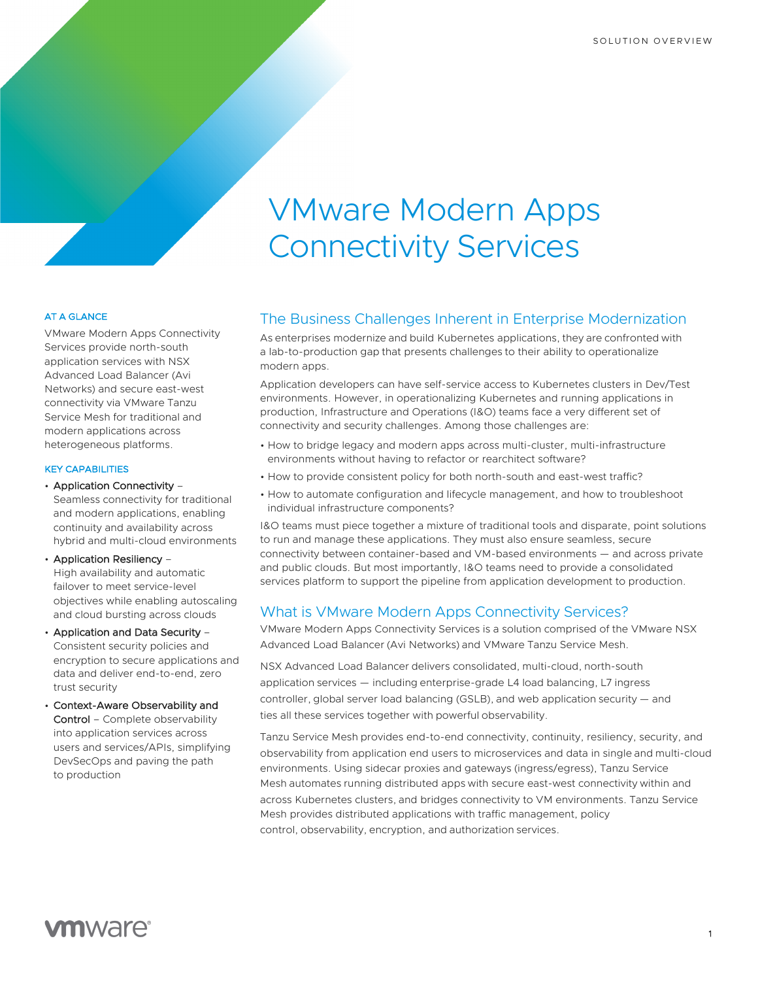# VMware Modern Apps Connectivity Services

## The Business Challenges Inherent in Enterprise Modernization

As enterprises modernize and build Kubernetes applications, they are confronted with a lab-to-production gap that presents challenges to their ability to operationalize modern apps.

Application developers can have self-service access to Kubernetes clusters in Dev/Test environments. However, in operationalizing Kubernetes and running applications in production, Infrastructure and Operations (I&O) teams face a very different set of connectivity and security challenges. Among those challenges are:

- How to bridge legacy and modern apps across multi-cluster, multi-infrastructure environments without having to refactor or rearchitect software?
- How to provide consistent policy for both north-south and east-west traffic?
- How to automate configuration and lifecycle management, and how to troubleshoot individual infrastructure components?

I&O teams must piece together a mixture of traditional tools and disparate, point solutions to run and manage these applications. They must also ensure seamless, secure connectivity between container-based and VM-based environments — and across private and public clouds. But most importantly, I&O teams need to provide a consolidated services platform to support the pipeline from application development to production.

# What is VMware Modern Apps Connectivity Services?

VMware Modern Apps Connectivity Services is a solution comprised of the VMware NSX Advanced Load Balancer (Avi Networks) and VMware Tanzu Service Mesh.

NSX Advanced Load Balancer delivers consolidated, multi-cloud, north-south application services — including enterprise-grade L4 load balancing, L7 ingress controller, global server load balancing (GSLB), and web application security — and ties all these services together with powerful observability.

Tanzu Service Mesh provides end-to-end connectivity, continuity, resiliency, security, and observability from application end users to microservices and data in single and multi-cloud environments. Using sidecar proxies and gateways (ingress/egress), Tanzu Service Mesh automates running distributed apps with secure east-west connectivity within and across Kubernetes clusters, and bridges connectivity to VM environments. Tanzu Service Mesh provides distributed applications with traffic management, policy control, observability, encryption, and authorization services.

#### AT A GLANCE

VMware Modern Apps Connectivity Services provide north-south application services with NSX Advanced Load Balancer (Avi Networks) and secure east-west connectivity via VMware Tanzu Service Mesh for traditional and modern applications across heterogeneous platforms.

#### KEY CAPABILITIES

• Application Connectivity –

Seamless connectivity for traditional and modern applications, enabling continuity and availability across hybrid and multi-cloud environments

• Application Resiliency – High availability and automatic failover to meet service-level objectives while enabling autoscaling and cloud bursting across clouds

- Application and Data Security Consistent security policies and encryption to secure applications and data and deliver end-to-end, zero trust security
- Context-Aware Observability and Control – Complete observability into application services across users and services/APIs, simplifying DevSecOps and paving the path to production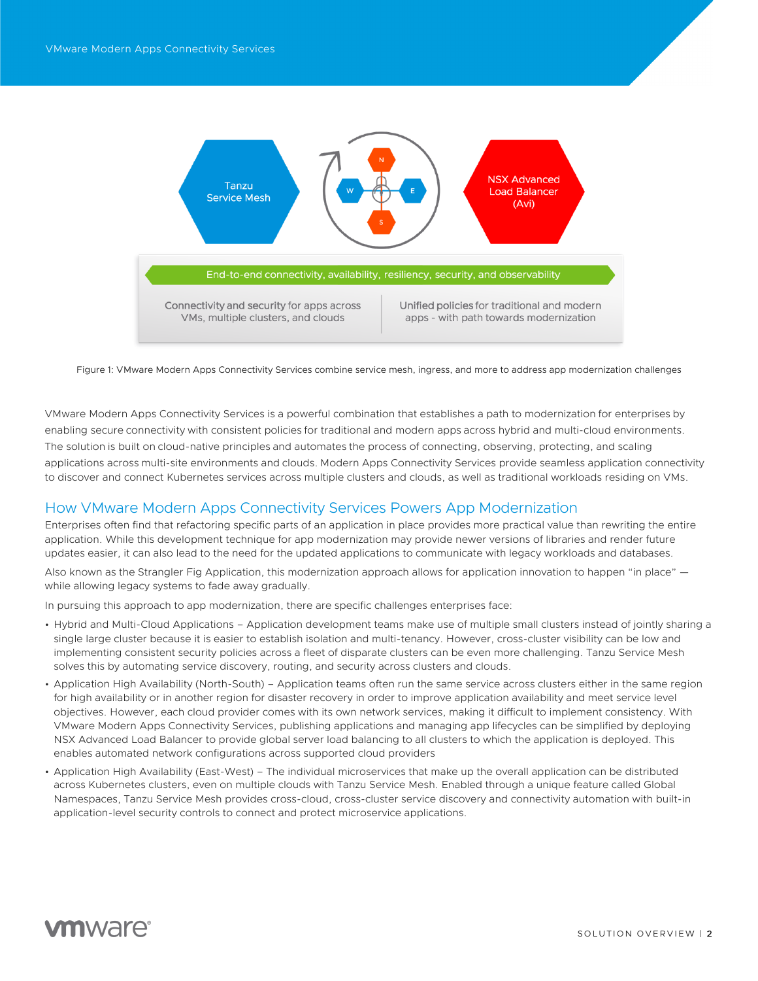

Figure 1: VMware Modern Apps Connectivity Services combine service mesh, ingress, and more to address app modernization challenges

VMware Modern Apps Connectivity Services is a powerful combination that establishes a path to modernization for enterprises by enabling secure connectivity with consistent policies for traditional and modern apps across hybrid and multi-cloud environments. The solution is built on cloud-native principles and automates the process of connecting, observing, protecting, and scaling applications across multi-site environments and clouds. Modern Apps Connectivity Services provide seamless application connectivity to discover and connect Kubernetes services across multiple clusters and clouds, as well as traditional workloads residing on VMs.

# How VMware Modern Apps Connectivity Services Powers App Modernization

Enterprises often find that refactoring specific parts of an application in place provides more practical value than rewriting the entire application. While this development technique for app modernization may provide newer versions of libraries and render future updates easier, it can also lead to the need for the updated applications to communicate with legacy workloads and databases.

Also known as the Strangler Fig Application, this modernization approach allows for application innovation to happen "in place"  $$ while allowing legacy systems to fade away gradually.

In pursuing this approach to app modernization, there are specific challenges enterprises face:

- Hybrid and Multi-Cloud Applications Application development teams make use of multiple small clusters instead of jointly sharing a single large cluster because it is easier to establish isolation and multi-tenancy. However, cross-cluster visibility can be low and implementing consistent security policies across a fleet of disparate clusters can be even more challenging. Tanzu Service Mesh solves this by automating service discovery, routing, and security across clusters and clouds.
- Application High Availability (North-South) Application teams often run the same service across clusters either in the same region for high availability or in another region for disaster recovery in order to improve application availability and meet service level objectives. However, each cloud provider comes with its own network services, making it difficult to implement consistency. With VMware Modern Apps Connectivity Services, publishing applications and managing app lifecycles can be simplified by deploying NSX Advanced Load Balancer to provide global server load balancing to all clusters to which the application is deployed. This enables automated network configurations across supported cloud providers
- Application High Availability (East-West) The individual microservices that make up the overall application can be distributed across Kubernetes clusters, even on multiple clouds with Tanzu Service Mesh. Enabled through a unique feature called Global Namespaces, Tanzu Service Mesh provides cross-cloud, cross-cluster service discovery and connectivity automation with built-in application-level security controls to connect and protect microservice applications.

# *m*ware<sup>®</sup>